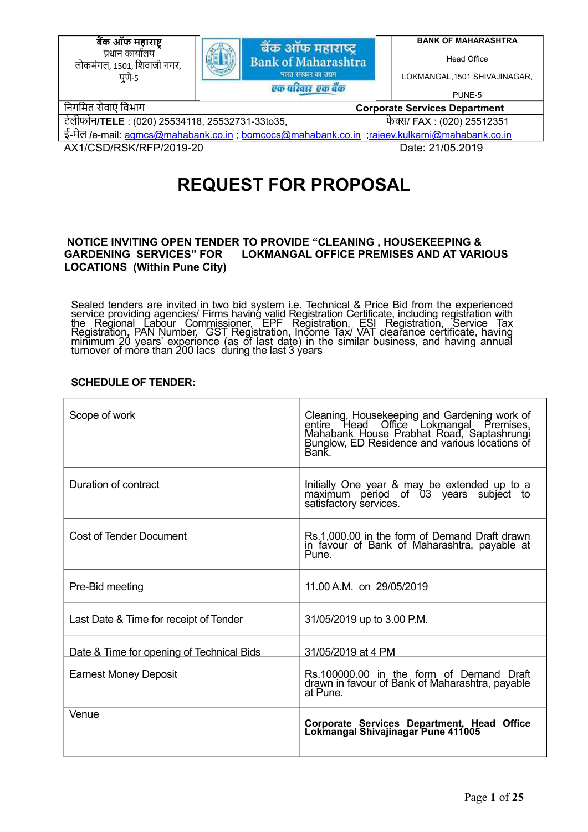<u>बैंक ऑफ महाराष्ट</u> प्रधान कार्यालय लोकमंगल, 1501, िशवाजी नगर, पुणे‐5



**BANK OF MAHARASHTRA**

Head Office

LOKMANGAL,1501.SHIVAJINAGAR,

PUNE-5

िनगिमत सेवाएं िवभाग **Corporate Services Department**

टेलीफोन**/TELE** : (020) 25534118, 25532731-33to35, फैƛ/ FAX : (020) 25512351

ई**-**मेल **/**e-mail: agmcs@mahabank.co.in ; bomcocs@mahabank.co.in ;rajeev.kulkarni@mahabank.co.in

AX1/CSD/RSK/RFP/2019-20 Date: 21/05.2019

# **REQUEST FOR PROPOSAL**

#### **NOTICE INVITING OPEN TENDER TO PROVIDE "CLEANING , HOUSEKEEPING & GARDENING SERVICES" FOR LOKMANGAL OFFICE PREMISES AND AT VARIOUS LOCATIONS (Within Pune City)**

Sealed tenders are invited in two bid system i.e. Technical & Price Bid from the experienced service providing agencies/ Firms having valid Registration Certificate, including registration with the Regional Labour Commissi

# **SCHEDULE OF TENDER:**

| Scope of work                             | Cleaning, Housekeeping and Gardening work of<br>entire Head Office Lokmangal Premises,<br>Mahabank House Prabhat Road, Saptashrungi<br>Bunglow, ED Residence and various locations of<br>Bank. |
|-------------------------------------------|------------------------------------------------------------------------------------------------------------------------------------------------------------------------------------------------|
| Duration of contract                      | Initially One year & may be extended up to a<br>maximum period of 03 years subject to<br>satisfactory services.                                                                                |
| Cost of Tender Document                   | Rs.1,000.00 in the form of Demand Draft drawn<br>in favour of Bank of Maharashtra, payable at<br>Pune.                                                                                         |
| Pre-Bid meeting                           | 11.00 A.M. on 29/05/2019                                                                                                                                                                       |
| Last Date & Time for receipt of Tender    | 31/05/2019 up to 3.00 P.M.                                                                                                                                                                     |
| Date & Time for opening of Technical Bids | 31/05/2019 at 4 PM                                                                                                                                                                             |
| <b>Earnest Money Deposit</b>              | Rs.100000.00 in the form of Demand Draft<br>drawn in favour of Bank of Maharashtra, payable<br>at Pune.                                                                                        |
| Venue                                     | Corporate Services Department, Head Office<br>Lokmangal Shivajinagar Pune 411005                                                                                                               |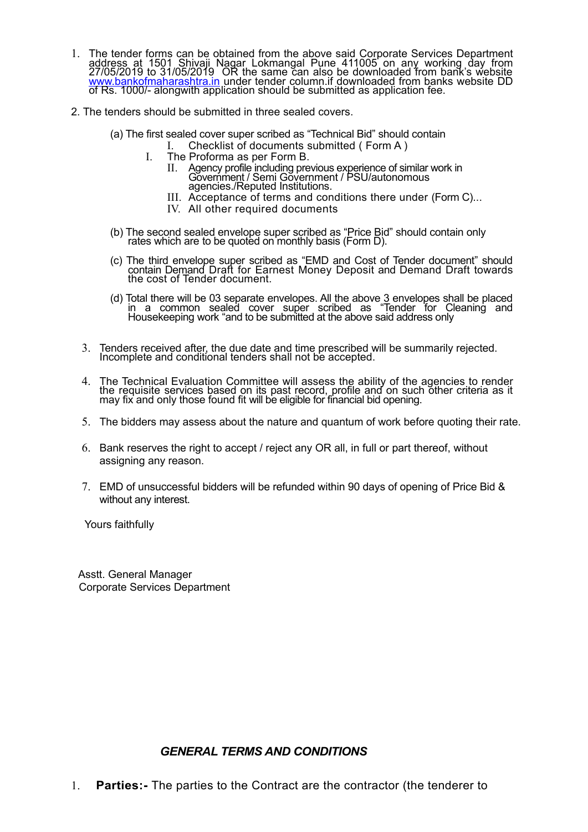- 1. The tender forms can be obtained from the above said Corporate Services Department<br>address at 1501 Shivaji Nagar Lokmangal Pune 411005 on any working day from<br>27/05/2019 to 31/05/2019 OR the same can also be downloaded www.bankofmaharashtra.in under tender column.if downloaded from banks website DD of Rs. 1000/- alongwith application should be submitted as application fee.
- 2. The tenders should be submitted in three sealed covers.
	- (a) The first sealed cover super scribed as "Technical Bid" should contain
		- I. Checklist of documents submitted ( Form A )
		- I. The Proforma as per Form B.
			- II. Agency profile including previous experience of similar work in Government / Semi Government / PSU/autonomous agencies./Reputed Institutions.
			- III. Acceptance of terms and conditions there under (Form C)...
			- IV. All other required documents
	- (b) The second sealed envelope super scribed as "Price Bid" should contain only rates which are to be quoted on monthly basis (Form D).
	- (c) The third envelope super scribed as "EMD and Cost of Tender document" should contain Demand Draft for Earnest Money Deposit and Demand Draft towards the cost of Tender document.
	- (d) Total there will be 03 separate envelopes. All the above 3 envelopes shall be placed in a common sealed cover super scribed as "Tender for Cleaning and Housekeeping work "and to be submitted at the above said address only
	- 3. Tenders received after, the due date and time prescribed will be summarily rejected. Incomplete and conditional tenders shall not be accepted.
	- 4. The Technical Evaluation Committee will assess the ability of the agencies to render the requisite services based on its past record, profile and on such other criteria as it may fix and only those found fit will be eligible for financial bid opening.
	- 5. The bidders may assess about the nature and quantum of work before quoting their rate.
	- 6. Bank reserves the right to accept / reject any OR all, in full or part thereof, without assigning any reason.
	- 7. EMD of unsuccessful bidders will be refunded within 90 days of opening of Price Bid & without any interest.

Yours faithfully

 Asstt. General Manager Corporate Services Department

# *GENERAL TERMS AND CONDITIONS*

1. **Parties:-** The parties to the Contract are the contractor (the tenderer to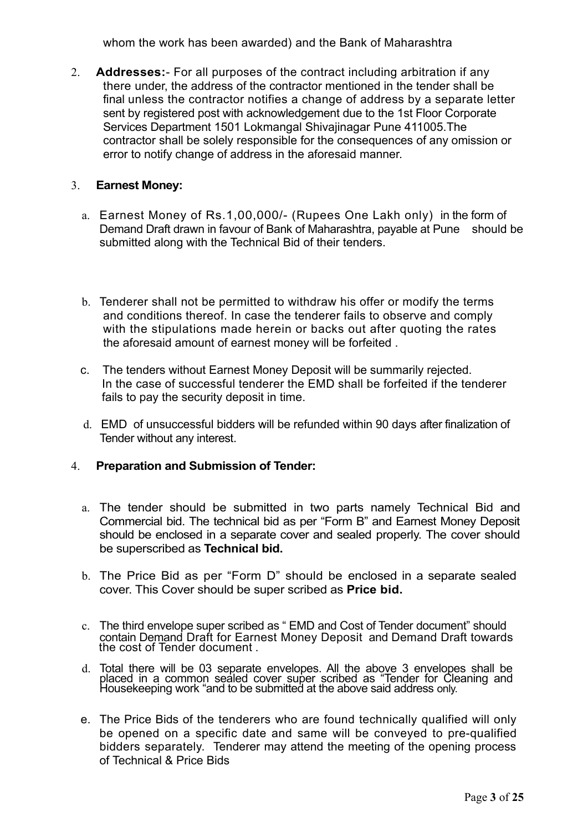whom the work has been awarded) and the Bank of Maharashtra

2. **Addresses:**- For all purposes of the contract including arbitration if any there under, the address of the contractor mentioned in the tender shall be final unless the contractor notifies a change of address by a separate letter sent by registered post with acknowledgement due to the 1st Floor Corporate Services Department 1501 Lokmangal Shivajinagar Pune 411005.The contractor shall be solely responsible for the consequences of any omission or error to notify change of address in the aforesaid manner.

# 3. **Earnest Money:**

- a. Earnest Money of Rs.1,00,000/- (Rupees One Lakh only) in the form of Demand Draft drawn in favour of Bank of Maharashtra, payable at Pune should be submitted along with the Technical Bid of their tenders.
- b. Tenderer shall not be permitted to withdraw his offer or modify the terms and conditions thereof. In case the tenderer fails to observe and comply with the stipulations made herein or backs out after quoting the rates the aforesaid amount of earnest money will be forfeited .
- c. The tenders without Earnest Money Deposit will be summarily rejected. In the case of successful tenderer the EMD shall be forfeited if the tenderer fails to pay the security deposit in time.
- d. EMD of unsuccessful bidders will be refunded within 90 days after finalization of Tender without any interest.

# 4. **Preparation and Submission of Tender:**

- a. The tender should be submitted in two parts namely Technical Bid and Commercial bid. The technical bid as per "Form B" and Earnest Money Deposit should be enclosed in a separate cover and sealed properly. The cover should be superscribed as **Technical bid.**
- b. The Price Bid as per "Form D" should be enclosed in a separate sealed cover. This Cover should be super scribed as **Price bid.**
- c. The third envelope super scribed as " EMD and Cost of Tender document" should contain Demand Draft for Earnest Money Deposit and Demand Draft towards the cost of Tender document .
- d. Total there will be 03 separate envelopes. All the above 3 envelopes shall be placed in a common sealed cover super scribed as "Tender for Cleaning and Housekeeping work "and to be submitted at the above said address on
- e. The Price Bids of the tenderers who are found technically qualified will only be opened on a specific date and same will be conveyed to pre-qualified bidders separately. Tenderer may attend the meeting of the opening process of Technical & Price Bids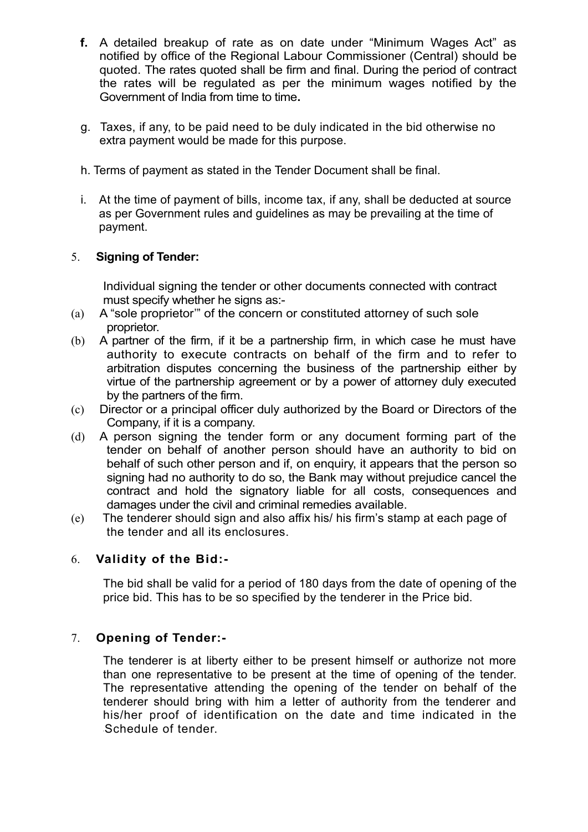- **f.** A detailed breakup of rate as on date under "Minimum Wages Act" as notified by office of the Regional Labour Commissioner (Central) should be quoted. The rates quoted shall be firm and final. During the period of contract the rates will be regulated as per the minimum wages notified by the Government of India from time to time**.**
- g. Taxes, if any, to be paid need to be duly indicated in the bid otherwise no extra payment would be made for this purpose.
- h. Terms of payment as stated in the Tender Document shall be final.
- i. At the time of payment of bills, income tax, if any, shall be deducted at source as per Government rules and guidelines as may be prevailing at the time of payment.

# 5. **Signing of Tender:**

Individual signing the tender or other documents connected with contract must specify whether he signs as:-

- (a) A "sole proprietor'" of the concern or constituted attorney of such sole proprietor.
- (b) A partner of the firm, if it be a partnership firm, in which case he must have authority to execute contracts on behalf of the firm and to refer to arbitration disputes concerning the business of the partnership either by virtue of the partnership agreement or by a power of attorney duly executed by the partners of the firm.
- (c) Director or a principal officer duly authorized by the Board or Directors of the Company, if it is a company.
- (d) A person signing the tender form or any document forming part of the tender on behalf of another person should have an authority to bid on behalf of such other person and if, on enquiry, it appears that the person so signing had no authority to do so, the Bank may without prejudice cancel the contract and hold the signatory liable for all costs, consequences and damages under the civil and criminal remedies available.
- (e) The tenderer should sign and also affix his/ his firm's stamp at each page of the tender and all its enclosures.

# 6. **Validity of the Bid:-**

The bid shall be valid for a period of 180 days from the date of opening of the price bid. This has to be so specified by the tenderer in the Price bid.

# 7. **Opening of Tender:-**

The tenderer is at liberty either to be present himself or authorize not more than one representative to be present at the time of opening of the tender. The representative attending the opening of the tender on behalf of the tenderer should bring with him a letter of authority from the tenderer and his/her proof of identification on the date and time indicated in the Schedule of tender.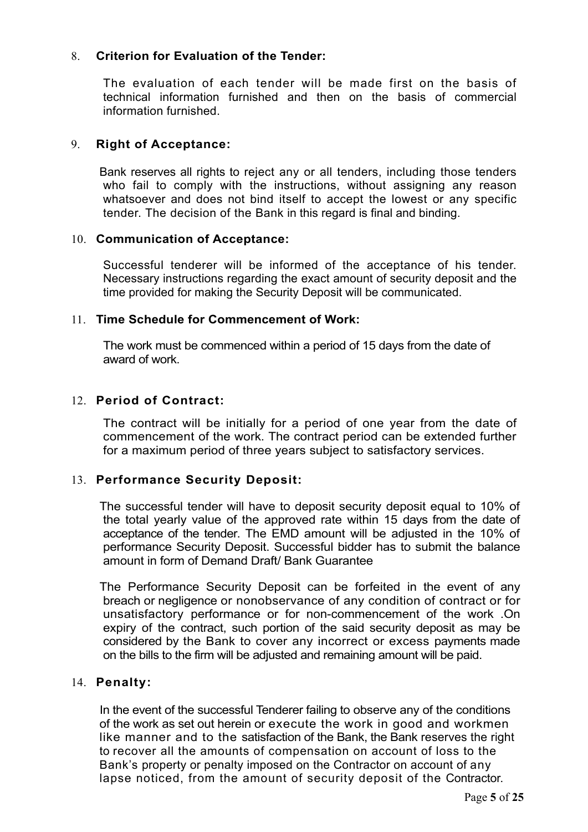# 8. **Criterion for Evaluation of the Tender:**

The evaluation of each tender will be made first on the basis of technical information furnished and then on the basis of commercial information furnished.

# 9. **Right of Acceptance:**

Bank reserves all rights to reject any or all tenders, including those tenders who fail to comply with the instructions, without assigning any reason whatsoever and does not bind itself to accept the lowest or any specific tender. The decision of the Bank in this regard is final and binding.

# 10. **Communication of Acceptance:**

Successful tenderer will be informed of the acceptance of his tender. Necessary instructions regarding the exact amount of security deposit and the time provided for making the Security Deposit will be communicated.

# 11. **Time Schedule for Commencement of Work:**

The work must be commenced within a period of 15 days from the date of award of work.

# 12. **Period of Contract:**

The contract will be initially for a period of one year from the date of commencement of the work. The contract period can be extended further for a maximum period of three years subject to satisfactory services.

# 13. **Performance Security Deposit:**

The successful tender will have to deposit security deposit equal to 10% of the total yearly value of the approved rate within 15 days from the date of acceptance of the tender. The EMD amount will be adjusted in the 10% of performance Security Deposit. Successful bidder has to submit the balance amount in form of Demand Draft/ Bank Guarantee

The Performance Security Deposit can be forfeited in the event of any breach or negligence or nonobservance of any condition of contract or for unsatisfactory performance or for non-commencement of the work .On expiry of the contract, such portion of the said security deposit as may be considered by the Bank to cover any incorrect or excess payments made on the bills to the firm will be adjusted and remaining amount will be paid.

# 14. **Penalty:**

In the event of the successful Tenderer failing to observe any of the conditions of the work as set out herein or execute the work in good and workmen like manner and to the satisfaction of the Bank, the Bank reserves the right to recover all the amounts of compensation on account of loss to the Bank's property or penalty imposed on the Contractor on account of any lapse noticed, from the amount of security deposit of the Contractor.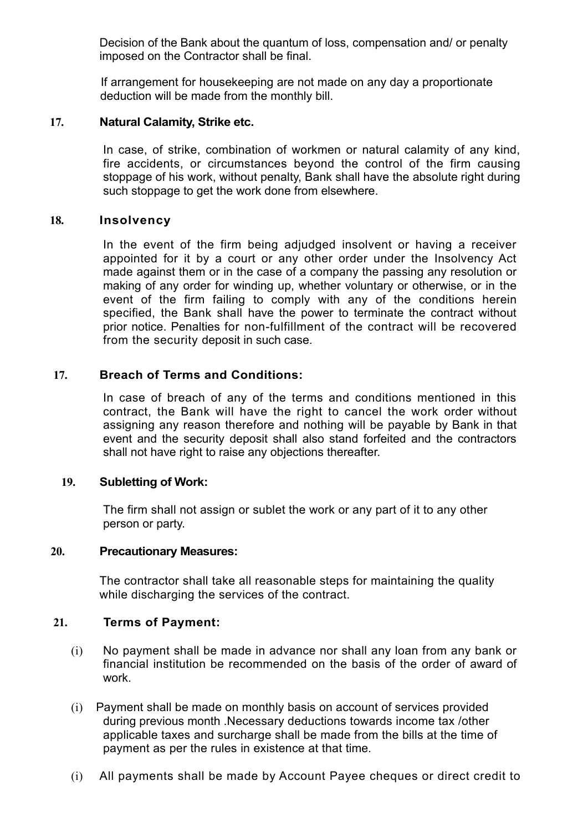Decision of the Bank about the quantum of loss, compensation and/ or penalty imposed on the Contractor shall be final.

 If arrangement for housekeeping are not made on any day a proportionate deduction will be made from the monthly bill.

# **17. Natural Calamity, Strike etc.**

In case, of strike, combination of workmen or natural calamity of any kind, fire accidents, or circumstances beyond the control of the firm causing stoppage of his work, without penalty, Bank shall have the absolute right during such stoppage to get the work done from elsewhere.

#### **18. Insolvency**

In the event of the firm being adjudged insolvent or having a receiver appointed for it by a court or any other order under the Insolvency Act made against them or in the case of a company the passing any resolution or making of any order for winding up, whether voluntary or otherwise, or in the event of the firm failing to comply with any of the conditions herein specified, the Bank shall have the power to terminate the contract without prior notice. Penalties for non-fulfillment of the contract will be recovered from the security deposit in such case.

# **17. Breach of Terms and Conditions:**

In case of breach of any of the terms and conditions mentioned in this contract, the Bank will have the right to cancel the work order without assigning any reason therefore and nothing will be payable by Bank in that event and the security deposit shall also stand forfeited and the contractors shall not have right to raise any objections thereafter.

# **19. Subletting of Work:**

The firm shall not assign or sublet the work or any part of it to any other person or party.

#### **20. Precautionary Measures:**

The contractor shall take all reasonable steps for maintaining the quality while discharging the services of the contract.

# **21. Terms of Payment:**

- (i) No payment shall be made in advance nor shall any loan from any bank or financial institution be recommended on the basis of the order of award of work.
- (i) Payment shall be made on monthly basis on account of services provided during previous month .Necessary deductions towards income tax /other applicable taxes and surcharge shall be made from the bills at the time of payment as per the rules in existence at that time.
- (i) All payments shall be made by Account Payee cheques or direct credit to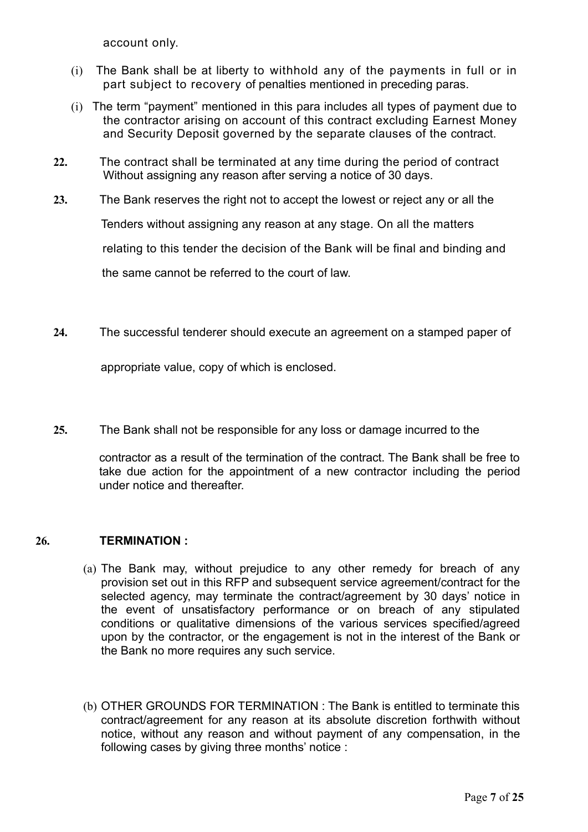account only.

- (i) The Bank shall be at liberty to withhold any of the payments in full or in part subject to recovery of penalties mentioned in preceding paras.
- (i) The term "payment" mentioned in this para includes all types of payment due to the contractor arising on account of this contract excluding Earnest Money and Security Deposit governed by the separate clauses of the contract.
- **22.** The contract shall be terminated at any time during the period of contract Without assigning any reason after serving a notice of 30 days.
- **23.** The Bank reserves the right not to accept the lowest or reject any or all the

Tenders without assigning any reason at any stage. On all the matters

relating to this tender the decision of the Bank will be final and binding and

the same cannot be referred to the court of law.

**24.** The successful tenderer should execute an agreement on a stamped paper of

appropriate value, copy of which is enclosed.

**25.** The Bank shall not be responsible for any loss or damage incurred to the

contractor as a result of the termination of the contract. The Bank shall be free to take due action for the appointment of a new contractor including the period under notice and thereafter.

# **26. TERMINATION :**

- (a) The Bank may, without prejudice to any other remedy for breach of any provision set out in this RFP and subsequent service agreement/contract for the selected agency, may terminate the contract/agreement by 30 days' notice in the event of unsatisfactory performance or on breach of any stipulated conditions or qualitative dimensions of the various services specified/agreed upon by the contractor, or the engagement is not in the interest of the Bank or the Bank no more requires any such service.
- (b) OTHER GROUNDS FOR TERMINATION : The Bank is entitled to terminate this contract/agreement for any reason at its absolute discretion forthwith without notice, without any reason and without payment of any compensation, in the following cases by giving three months' notice :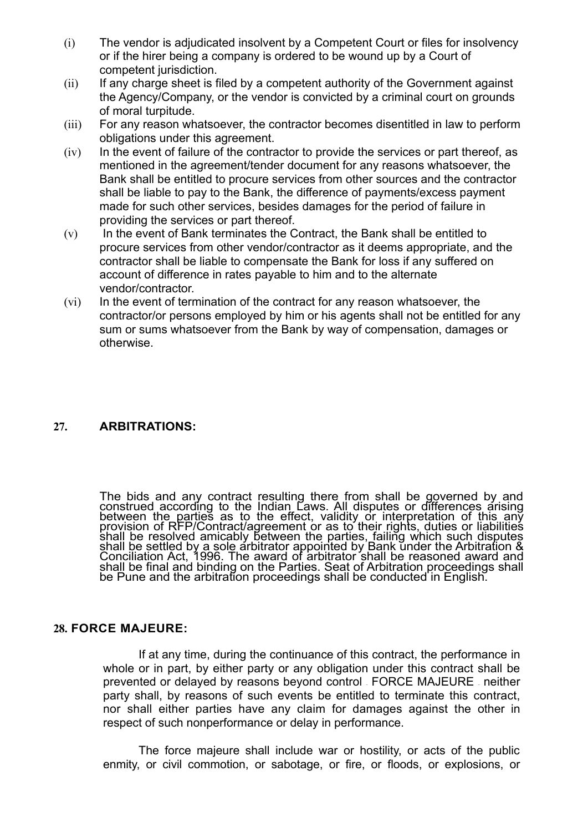- (i) The vendor is adjudicated insolvent by a Competent Court or files for insolvency or if the hirer being a company is ordered to be wound up by a Court of competent jurisdiction.
- $(iii)$  If any charge sheet is filed by a competent authority of the Government against the Agency/Company, or the vendor is convicted by a criminal court on grounds of moral turpitude.
- (iii) For any reason whatsoever, the contractor becomes disentitled in law to perform obligations under this agreement.
- $(iv)$  In the event of failure of the contractor to provide the services or part thereof, as mentioned in the agreement/tender document for any reasons whatsoever, the Bank shall be entitled to procure services from other sources and the contractor shall be liable to pay to the Bank, the difference of payments/excess payment made for such other services, besides damages for the period of failure in providing the services or part thereof.
- $(v)$  In the event of Bank terminates the Contract, the Bank shall be entitled to procure services from other vendor/contractor as it deems appropriate, and the contractor shall be liable to compensate the Bank for loss if any suffered on account of difference in rates payable to him and to the alternate vendor/contractor.
- (vi) In the event of termination of the contract for any reason whatsoever, the contractor/or persons employed by him or his agents shall not be entitled for any sum or sums whatsoever from the Bank by way of compensation, damages or otherwise.

# **27. ARBITRATIONS:**

The bids and any contract resulting there from shall be governed by and construed according to the Indian Laws. All disputes or differences arising between the parties as to the effect, validity or interpretation of this a shall be resolved amicably between the parties, failing which such disputes shall be settled by a sole arbitrator appointed by Bank under the Arbitration & Conciliation Act, 1996. The award of arbitrator shall be reasoned award and shall be final and binding on the Parties. Seat of Arbitration proceedings shall be Pune and the arbitration proceedings shall be conducted in English.

#### **28. FORCE MAJEURE:**

If at any time, during the continuance of this contract, the performance in whole or in part, by either party or any obligation under this contract shall be prevented or delayed by reasons beyond control – FORCE MAJEURE – neither party shall, by reasons of such events be entitled to terminate this contract, nor shall either parties have any claim for damages against the other in respect of such nonperformance or delay in performance.

The force majeure shall include war or hostility, or acts of the public enmity, or civil commotion, or sabotage, or fire, or floods, or explosions, or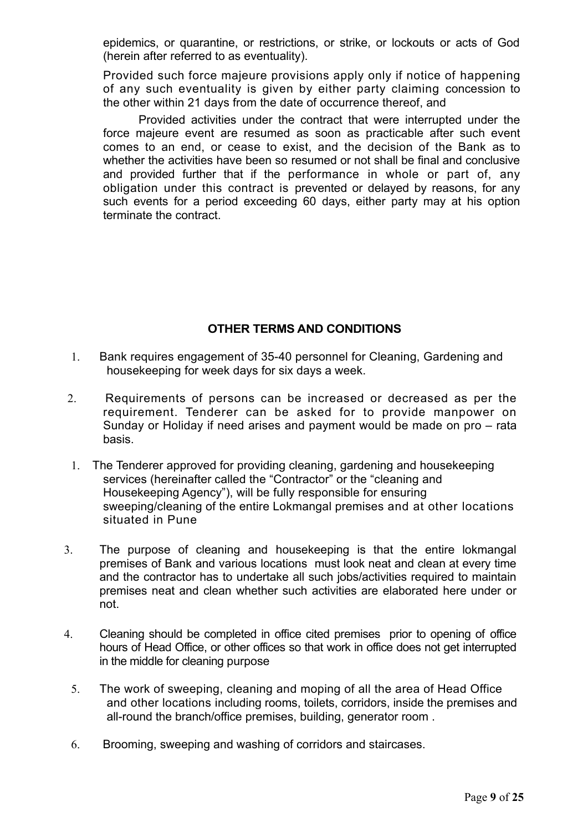epidemics, or quarantine, or restrictions, or strike, or lockouts or acts of God (herein after referred to as eventuality).

Provided such force majeure provisions apply only if notice of happening of any such eventuality is given by either party claiming concession to the other within 21 days from the date of occurrence thereof, and

Provided activities under the contract that were interrupted under the force majeure event are resumed as soon as practicable after such event comes to an end, or cease to exist, and the decision of the Bank as to whether the activities have been so resumed or not shall be final and conclusive and provided further that if the performance in whole or part of, any obligation under this contract is prevented or delayed by reasons, for any such events for a period exceeding 60 days, either party may at his option terminate the contract.

# **OTHER TERMS AND CONDITIONS**

- 1. Bank requires engagement of 35-40 personnel for Cleaning, Gardening and housekeeping for week days for six days a week.
- 2. Requirements of persons can be increased or decreased as per the requirement. Tenderer can be asked for to provide manpower on Sunday or Holiday if need arises and payment would be made on pro – rata basis.
- 1. The Tenderer approved for providing cleaning, gardening and housekeeping services (hereinafter called the "Contractor" or the "cleaning and Housekeeping Agency"), will be fully responsible for ensuring sweeping/cleaning of the entire Lokmangal premises and at other locations situated in Pune
- 3. The purpose of cleaning and housekeeping is that the entire lokmangal premises of Bank and various locations must look neat and clean at every time and the contractor has to undertake all such jobs/activities required to maintain premises neat and clean whether such activities are elaborated here under or not.
- 4. Cleaning should be completed in office cited premises prior to opening of office hours of Head Office, or other offices so that work in office does not get interrupted in the middle for cleaning purpose
	- 5. The work of sweeping, cleaning and moping of all the area of Head Office and other locations including rooms, toilets, corridors, inside the premises and all-round the branch/office premises, building, generator room .
	- 6. Brooming, sweeping and washing of corridors and staircases.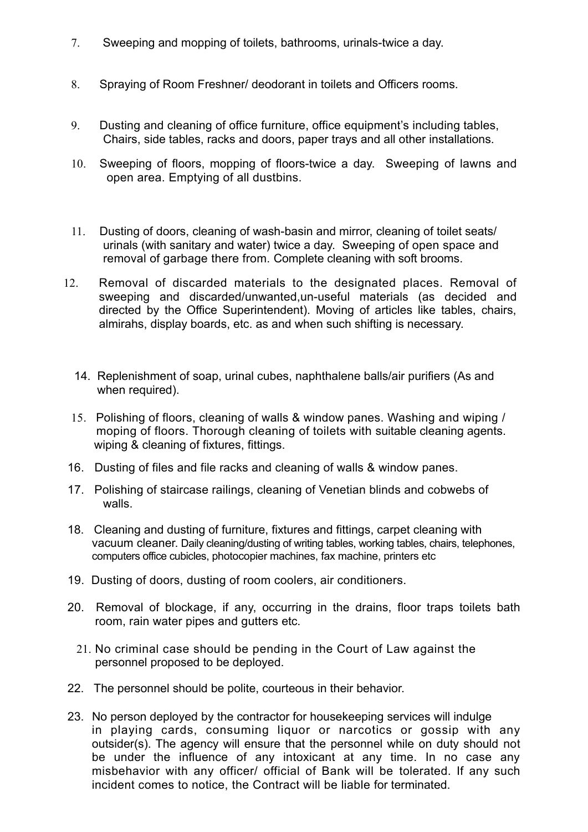- 7. Sweeping and mopping of toilets, bathrooms, urinals-twice a day.
- 8. Spraying of Room Freshner/ deodorant in toilets and Officers rooms.
- 9. Dusting and cleaning of office furniture, office equipment's including tables, Chairs, side tables, racks and doors, paper trays and all other installations.
- 10. Sweeping of floors, mopping of floors-twice a day. Sweeping of lawns and open area. Emptying of all dustbins.
- 11. Dusting of doors, cleaning of wash-basin and mirror, cleaning of toilet seats/ urinals (with sanitary and water) twice a day. Sweeping of open space and removal of garbage there from. Complete cleaning with soft brooms.
- 12. Removal of discarded materials to the designated places. Removal of sweeping and discarded/unwanted,un-useful materials (as decided and directed by the Office Superintendent). Moving of articles like tables, chairs, almirahs, display boards, etc. as and when such shifting is necessary.
	- 14. Replenishment of soap, urinal cubes, naphthalene balls/air purifiers (As and when required).
	- 15. Polishing of floors, cleaning of walls & window panes. Washing and wiping / moping of floors. Thorough cleaning of toilets with suitable cleaning agents. wiping & cleaning of fixtures, fittings.
- 16. Dusting of files and file racks and cleaning of walls & window panes.
- 17. Polishing of staircase railings, cleaning of Venetian blinds and cobwebs of walls.
- 18. Cleaning and dusting of furniture, fixtures and fittings, carpet cleaning with vacuum cleaner. Daily cleaning/dusting of writing tables, working tables, chairs, telephones, computers office cubicles, photocopier machines, fax machine, printers etc
- 19. Dusting of doors, dusting of room coolers, air conditioners.
- 20. Removal of blockage, if any, occurring in the drains, floor traps toilets bath room, rain water pipes and gutters etc.
	- 21. No criminal case should be pending in the Court of Law against the personnel proposed to be deployed.
- 22. The personnel should be polite, courteous in their behavior.
- 23. No person deployed by the contractor for housekeeping services will indulge in playing cards, consuming liquor or narcotics or gossip with any outsider(s). The agency will ensure that the personnel while on duty should not be under the influence of any intoxicant at any time. In no case any misbehavior with any officer/ official of Bank will be tolerated. If any such incident comes to notice, the Contract will be liable for terminated.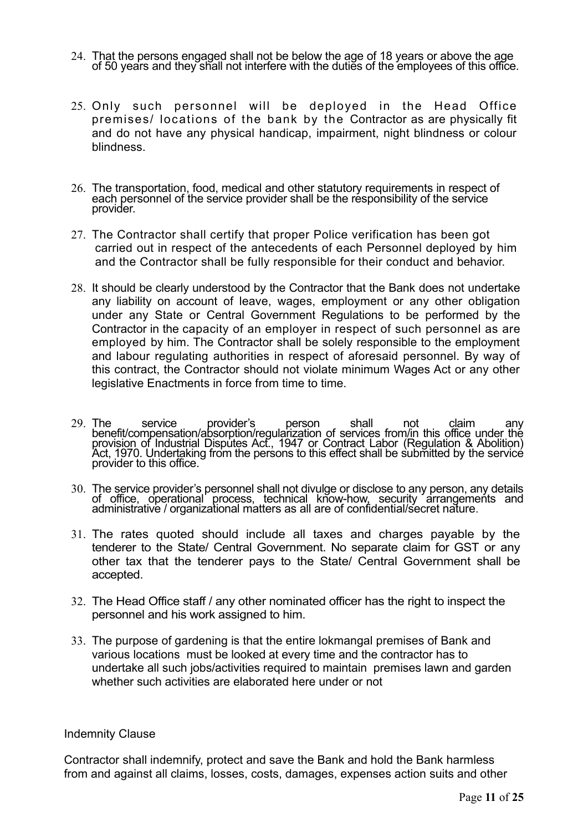- 24. That the persons engaged shall not be below the age of 18 years or above the age of 50 years and they shall not interfere with the duties of the employees of this office.
- 25. Only such personnel will be deployed in the Head Office premises/ locations of the bank by the Contractor as are physically fit and do not have any physical handicap, impairment, night blindness or colour blindness.
- 26. The transportation, food, medical and other statutory requirements in respect of each personnel of the service provider shall be the responsibility of the service provider.
- 27. The Contractor shall certify that proper Police verification has been got carried out in respect of the antecedents of each Personnel deployed by him and the Contractor shall be fully responsible for their conduct and behavior.
- 28. It should be clearly understood by the Contractor that the Bank does not undertake any liability on account of leave, wages, employment or any other obligation under any State or Central Government Regulations to be performed by the Contractor in the capacity of an employer in respect of such personnel as are employed by him. The Contractor shall be solely responsible to the employment and labour regulating authorities in respect of aforesaid personnel. By way of this contract, the Contractor should not violate minimum Wages Act or any other legislative Enactments in force from time to time.
- 29. The service provider's person shall not claim any benefit/compensation/absorption/regularization of services from/in this office under the provision of Industrial Disputes Act., 1947 or Contract Labor (Regulation & Abolition)<br>Act, 1970. Undertaking from the persons to this effect shall be submitted by the service<br>provider to this office.
- 30. The service provider's personnel shall not divulge or disclose to any person, any details of office, operational process, technical know-how, security arrangements and administrative / organizational matters as all are
- 31. The rates quoted should include all taxes and charges payable by the tenderer to the State/ Central Government. No separate claim for GST or any other tax that the tenderer pays to the State/ Central Government shall be accepted.
- 32. The Head Office staff / any other nominated officer has the right to inspect the personnel and his work assigned to him.
- 33. The purpose of gardening is that the entire lokmangal premises of Bank and various locations must be looked at every time and the contractor has to undertake all such jobs/activities required to maintain premises lawn and garden whether such activities are elaborated here under or not

#### Indemnity Clause

Contractor shall indemnify, protect and save the Bank and hold the Bank harmless from and against all claims, losses, costs, damages, expenses action suits and other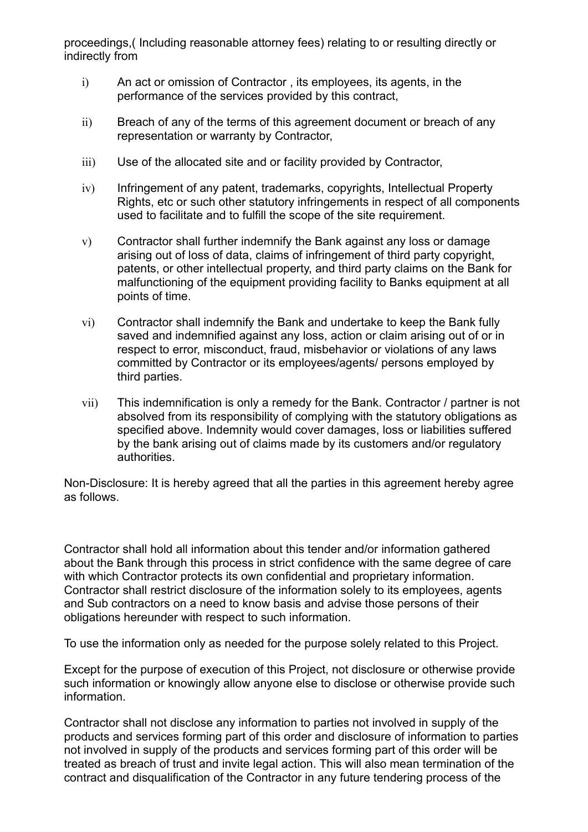proceedings,( Including reasonable attorney fees) relating to or resulting directly or indirectly from

- i) An act or omission of Contractor , its employees, its agents, in the performance of the services provided by this contract,
- ii) Breach of any of the terms of this agreement document or breach of any representation or warranty by Contractor,
- iii) Use of the allocated site and or facility provided by Contractor,
- iv) Infringement of any patent, trademarks, copyrights, Intellectual Property Rights, etc or such other statutory infringements in respect of all components used to facilitate and to fulfill the scope of the site requirement.
- v) Contractor shall further indemnify the Bank against any loss or damage arising out of loss of data, claims of infringement of third party copyright, patents, or other intellectual property, and third party claims on the Bank for malfunctioning of the equipment providing facility to Banks equipment at all points of time.
- vi) Contractor shall indemnify the Bank and undertake to keep the Bank fully saved and indemnified against any loss, action or claim arising out of or in respect to error, misconduct, fraud, misbehavior or violations of any laws committed by Contractor or its employees/agents/ persons employed by third parties.
- vii) This indemnification is only a remedy for the Bank. Contractor / partner is not absolved from its responsibility of complying with the statutory obligations as specified above. Indemnity would cover damages, loss or liabilities suffered by the bank arising out of claims made by its customers and/or regulatory authorities.

Non-Disclosure: It is hereby agreed that all the parties in this agreement hereby agree as follows.

Contractor shall hold all information about this tender and/or information gathered about the Bank through this process in strict confidence with the same degree of care with which Contractor protects its own confidential and proprietary information. Contractor shall restrict disclosure of the information solely to its employees, agents and Sub contractors on a need to know basis and advise those persons of their obligations hereunder with respect to such information.

To use the information only as needed for the purpose solely related to this Project.

Except for the purpose of execution of this Project, not disclosure or otherwise provide such information or knowingly allow anyone else to disclose or otherwise provide such information.

Contractor shall not disclose any information to parties not involved in supply of the products and services forming part of this order and disclosure of information to parties not involved in supply of the products and services forming part of this order will be treated as breach of trust and invite legal action. This will also mean termination of the contract and disqualification of the Contractor in any future tendering process of the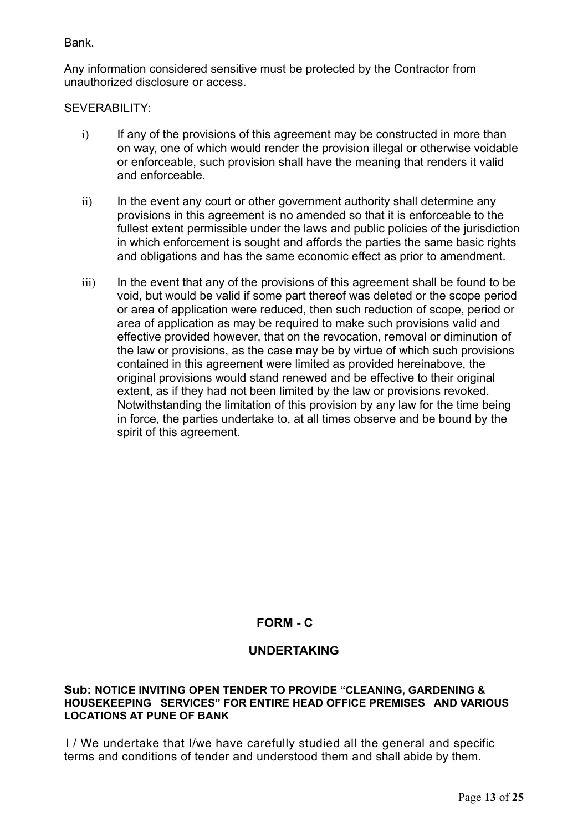Bank.

Any information considered sensitive must be protected by the Contractor from unauthorized disclosure or access.

SEVERABILITY:

- i) If any of the provisions of this agreement may be constructed in more than on way, one of which would render the provision illegal or otherwise voidable or enforceable, such provision shall have the meaning that renders it valid and enforceable.
- $\overline{ii}$  In the event any court or other government authority shall determine any provisions in this agreement is no amended so that it is enforceable to the fullest extent permissible under the laws and public policies of the jurisdiction in which enforcement is sought and affords the parties the same basic rights and obligations and has the same economic effect as prior to amendment.
- iii) In the event that any of the provisions of this agreement shall be found to be void, but would be valid if some part thereof was deleted or the scope period or area of application were reduced, then such reduction of scope, period or area of application as may be required to make such provisions valid and effective provided however, that on the revocation, removal or diminution of the law or provisions, as the case may be by virtue of which such provisions contained in this agreement were limited as provided hereinabove, the original provisions would stand renewed and be effective to their original extent, as if they had not been limited by the law or provisions revoked. Notwithstanding the limitation of this provision by any law for the time being in force, the parties undertake to, at all times observe and be bound by the spirit of this agreement.

# **FORM - C**

# **UNDERTAKING**

#### **Sub: NOTICE INVITING OPEN TENDER TO PROVIDE "CLEANING, GARDENING & HOUSEKEEPING SERVICES" FOR ENTIRE HEAD OFFICE PREMISES AND VARIOUS LOCATIONS AT PUNE OF BANK**

 I / We undertake that I/we have carefully studied all the general and specific terms and conditions of tender and understood them and shall abide by them.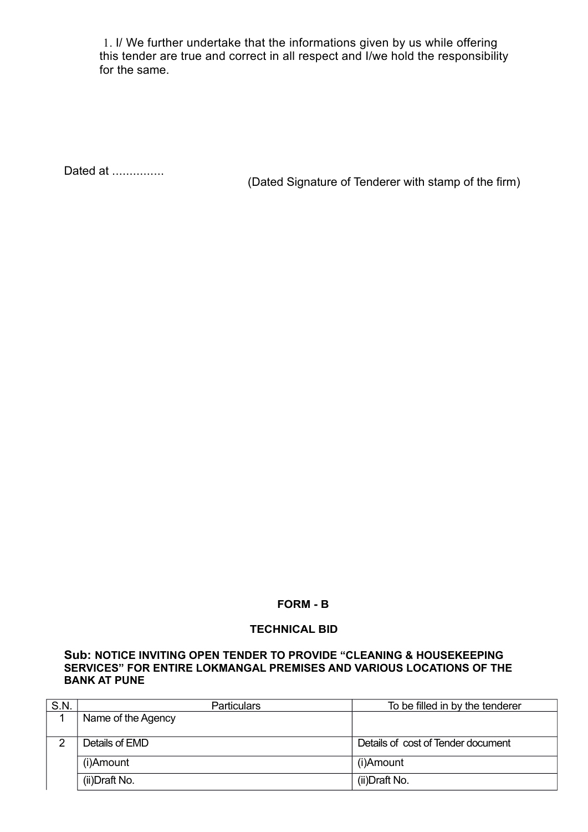1. I/ We further undertake that the informations given by us while offering this tender are true and correct in all respect and I/we hold the responsibility for the same.

Dated at ...............

(Dated Signature of Tenderer with stamp of the firm)

#### **FORM - B**

#### **TECHNICAL BID**

#### **Sub: NOTICE INVITING OPEN TENDER TO PROVIDE "CLEANING & HOUSEKEEPING SERVICES" FOR ENTIRE LOKMANGAL PREMISES AND VARIOUS LOCATIONS OF THE BANK AT PUNE**

| S.N. | <b>Particulars</b> | To be filled in by the tenderer    |  |
|------|--------------------|------------------------------------|--|
|      | Name of the Agency |                                    |  |
|      |                    |                                    |  |
|      | Details of EMD     | Details of cost of Tender document |  |
|      | (i)Amount          | (i)Amount                          |  |
|      | (ii)Draft No.      | (ii)Draft No.                      |  |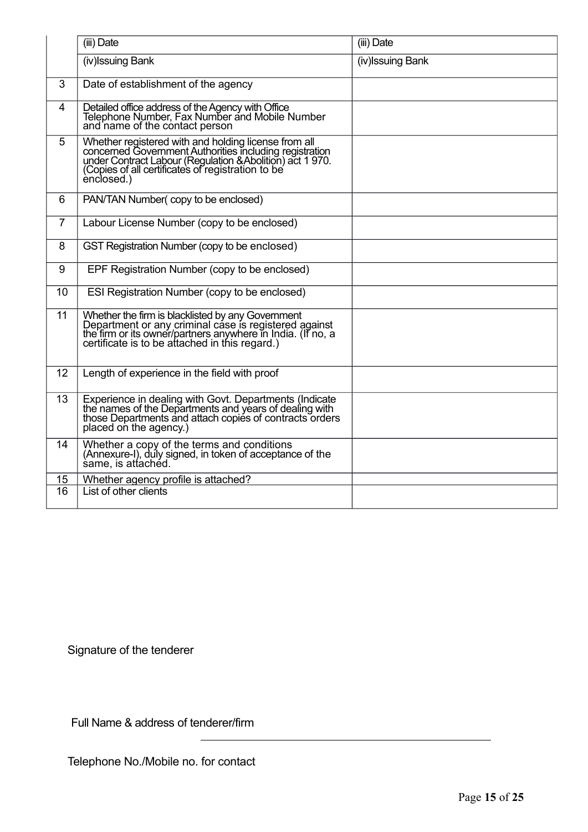|                | (iii) Date                                                                                                                                                                                                                                     | (iii) Date        |
|----------------|------------------------------------------------------------------------------------------------------------------------------------------------------------------------------------------------------------------------------------------------|-------------------|
|                | (iv) Issuing Bank                                                                                                                                                                                                                              | (iv) Issuing Bank |
| 3              | Date of establishment of the agency                                                                                                                                                                                                            |                   |
| $\overline{4}$ | Detailed office address of the Agency with Office<br>Telephone Number, Fax Number and Mobile Number<br>and name of the contact person                                                                                                          |                   |
| 5              | Whether registered with and holding license from all<br>concerned Government Authorities including registration<br>under Contract Labour (Regulation & Abolition) act 1970.<br>(Copies of all certificates of registration to be<br>ènclosed.) |                   |
| 6              | PAN/TAN Number(copy to be enclosed)                                                                                                                                                                                                            |                   |
| $\overline{7}$ | Labour License Number (copy to be enclosed)                                                                                                                                                                                                    |                   |
| 8              | GST Registration Number (copy to be enclosed)                                                                                                                                                                                                  |                   |
| 9              | EPF Registration Number (copy to be enclosed)                                                                                                                                                                                                  |                   |
| 10             | ESI Registration Number (copy to be enclosed)                                                                                                                                                                                                  |                   |
| 11             | Whether the firm is blacklisted by any Government<br>Department or any criminal case is registered against<br>the firm or its owner/partners anywhere in India. (If no, a<br>certificate is to be attached in this regard.)                    |                   |
| 12             | Length of experience in the field with proof                                                                                                                                                                                                   |                   |
| 13             | Experience in dealing with Govt. Departments (Indicate<br>the names of the Departments and years of dealing with<br>those Departments and attach copies of contracts orders<br>placed on the agency.)                                          |                   |
| 14             | Whether a copy of the terms and conditions<br>(Annexure-I), duly signed, in token of acceptance of the<br>same, is attached.                                                                                                                   |                   |
| 15             | Whether agency profile is attached?                                                                                                                                                                                                            |                   |
| 16             | List of other clients                                                                                                                                                                                                                          |                   |

Signature of the tenderer

Full Name & address of tenderer/firm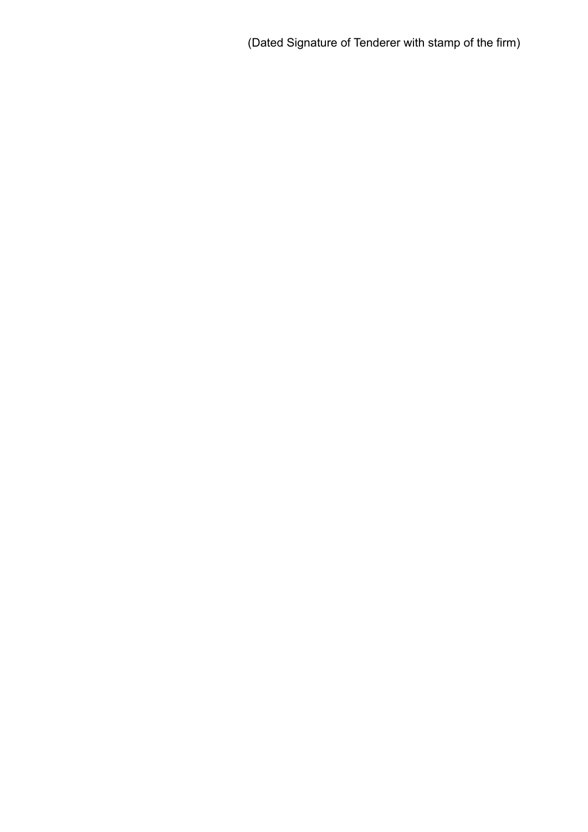(Dated Signature of Tenderer with stamp of the firm)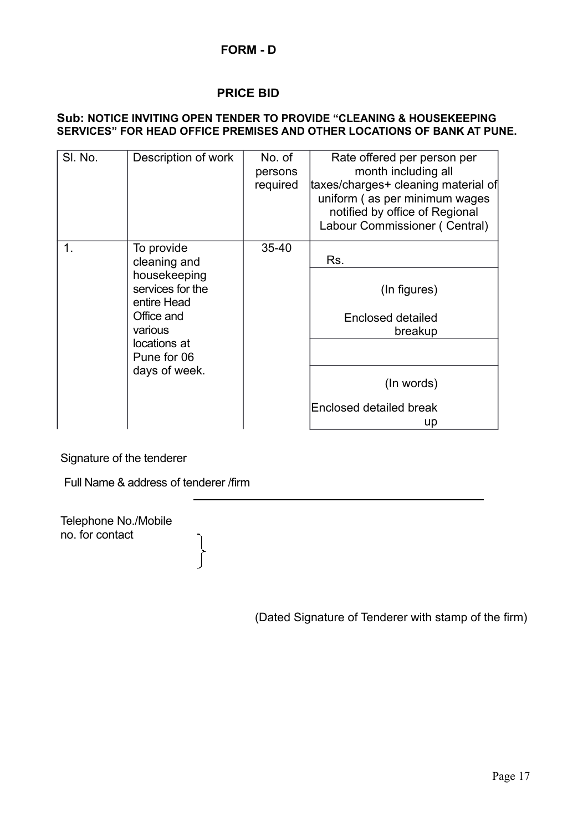# **PRICE BID**

#### **Sub: NOTICE INVITING OPEN TENDER TO PROVIDE "CLEANING & HOUSEKEEPING SERVICES" FOR HEAD OFFICE PREMISES AND OTHER LOCATIONS OF BANK AT PUNE.**

| SI. No. | Description of work                                                                                                                                    | No. of<br>persons<br>required | Rate offered per person per<br>month including all<br>taxes/charges+ cleaning material of<br>uniform (as per minimum wages<br>notified by office of Regional<br>Labour Commissioner (Central) |
|---------|--------------------------------------------------------------------------------------------------------------------------------------------------------|-------------------------------|-----------------------------------------------------------------------------------------------------------------------------------------------------------------------------------------------|
| 1.      | To provide<br>cleaning and<br>housekeeping<br>services for the<br>entire Head<br>Office and<br>various<br>locations at<br>Pune for 06<br>days of week. | $35 - 40$                     | Rs.<br>(In figures)<br><b>Enclosed detailed</b><br>breakup<br>(In words)<br>Enclosed detailed break<br>up                                                                                     |

Signature of the tenderer

Full Name & address of tenderer /firm

 $\left\{ \right.$ 

Telephone No./Mobile no. for contact

(Dated Signature of Tenderer with stamp of the firm)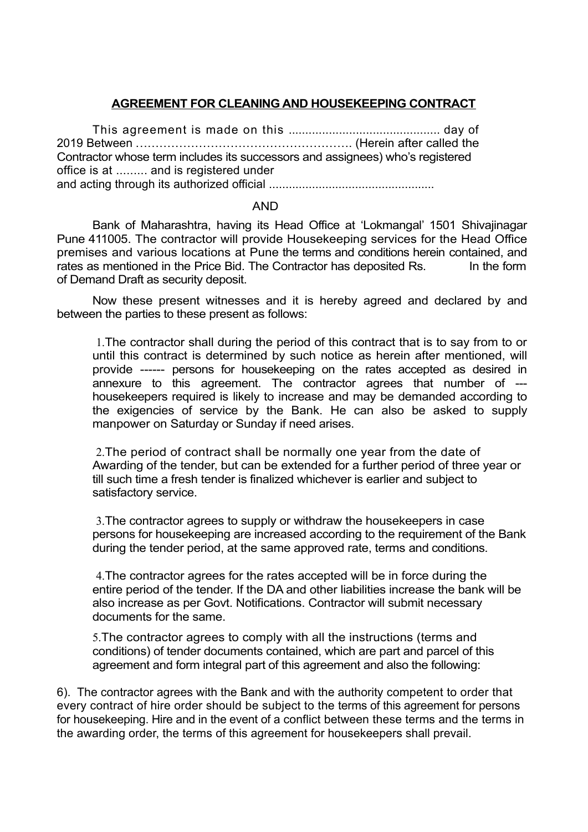# **AGREEMENT FOR CLEANING AND HOUSEKEEPING CONTRACT**

This agreement is made on this ............................................. day of 2019 Between ...……………………………………………. (Herein after called the Contractor whose term includes its successors and assignees) who's registered office is at ......... and is registered under and acting through its authorized official ..................................................

#### AND

Bank of Maharashtra, having its Head Office at 'Lokmangal' 1501 Shivajinagar Pune 411005. The contractor will provide Housekeeping services for the Head Office premises and various locations at Pune the terms and conditions herein contained, and rates as mentioned in the Price Bid. The Contractor has deposited Rs. In the form of Demand Draft as security deposit.

Now these present witnesses and it is hereby agreed and declared by and between the parties to these present as follows:

1.The contractor shall during the period of this contract that is to say from to or until this contract is determined by such notice as herein after mentioned, will provide ------ persons for housekeeping on the rates accepted as desired in annexure to this agreement. The contractor agrees that number of -- housekeepers required is likely to increase and may be demanded according to the exigencies of service by the Bank. He can also be asked to supply manpower on Saturday or Sunday if need arises.

2.The period of contract shall be normally one year from the date of Awarding of the tender, but can be extended for a further period of three year or till such time a fresh tender is finalized whichever is earlier and subject to satisfactory service.

3.The contractor agrees to supply or withdraw the housekeepers in case persons for housekeeping are increased according to the requirement of the Bank during the tender period, at the same approved rate, terms and conditions.

4.The contractor agrees for the rates accepted will be in force during the entire period of the tender. If the DA and other liabilities increase the bank will be also increase as per Govt. Notifications. Contractor will submit necessary documents for the same.

5.The contractor agrees to comply with all the instructions (terms and conditions) of tender documents contained, which are part and parcel of this agreement and form integral part of this agreement and also the following:

6). The contractor agrees with the Bank and with the authority competent to order that every contract of hire order should be subject to the terms of this agreement for persons for housekeeping. Hire and in the event of a conflict between these terms and the terms in the awarding order, the terms of this agreement for housekeepers shall prevail.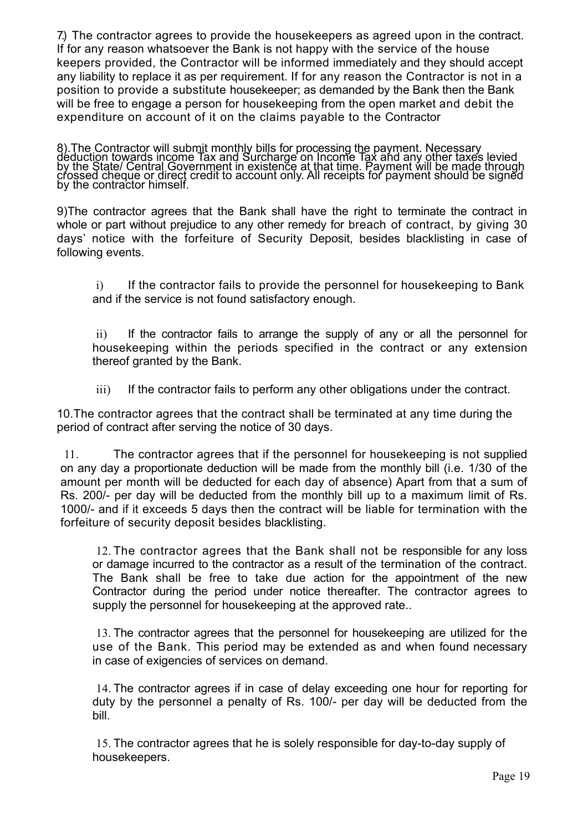7.) The contractor agrees to provide the housekeepers as agreed upon in the contract. If for any reason whatsoever the Bank is not happy with the service of the house keepers provided, the Contractor will be informed immediately and they should accept any liability to replace it as per requirement. If for any reason the Contractor is not in a position to provide a substitute housekeeper; as demanded by the Bank then the Bank will be free to engage a person for housekeeping from the open market and debit the expenditure on account of it on the claims payable to the Contractor

8). The Contractor will submit monthly bills for processing the payment. Necessary<br>deduction towards income Tax and Surcharge on Income Tax and any other taxes levied<br>by the State/ Central Government in existence at that t

9)The contractor agrees that the Bank shall have the right to terminate the contract in whole or part without prejudice to any other remedy for breach of contract, by giving 30 days' notice with the forfeiture of Security Deposit, besides blacklisting in case of following events.

i) If the contractor fails to provide the personnel for housekeeping to Bank and if the service is not found satisfactory enough.

ii) If the contractor fails to arrange the supply of any or all the personnel for housekeeping within the periods specified in the contract or any extension thereof granted by the Bank.

iii) If the contractor fails to perform any other obligations under the contract.

10.The contractor agrees that the contract shall be terminated at any time during the period of contract after serving the notice of 30 days.

11. The contractor agrees that if the personnel for housekeeping is not supplied on any day a proportionate deduction will be made from the monthly bill (i.e. 1/30 of the amount per month will be deducted for each day of absence) Apart from that a sum of Rs. 200/- per day will be deducted from the monthly bill up to a maximum limit of Rs. 1000/- and if it exceeds 5 days then the contract will be liable for termination with the forfeiture of security deposit besides blacklisting.

12. The contractor agrees that the Bank shall not be responsible for any loss or damage incurred to the contractor as a result of the termination of the contract. The Bank shall be free to take due action for the appointment of the new Contractor during the period under notice thereafter. The contractor agrees to supply the personnel for housekeeping at the approved rate..

13. The contractor agrees that the personnel for housekeeping are utilized for the use of the Bank. This period may be extended as and when found necessary in case of exigencies of services on demand.

14. The contractor agrees if in case of delay exceeding one hour for reporting for duty by the personnel a penalty of Rs. 100/- per day will be deducted from the bill.

15. The contractor agrees that he is solely responsible for day-to-day supply of housekeepers.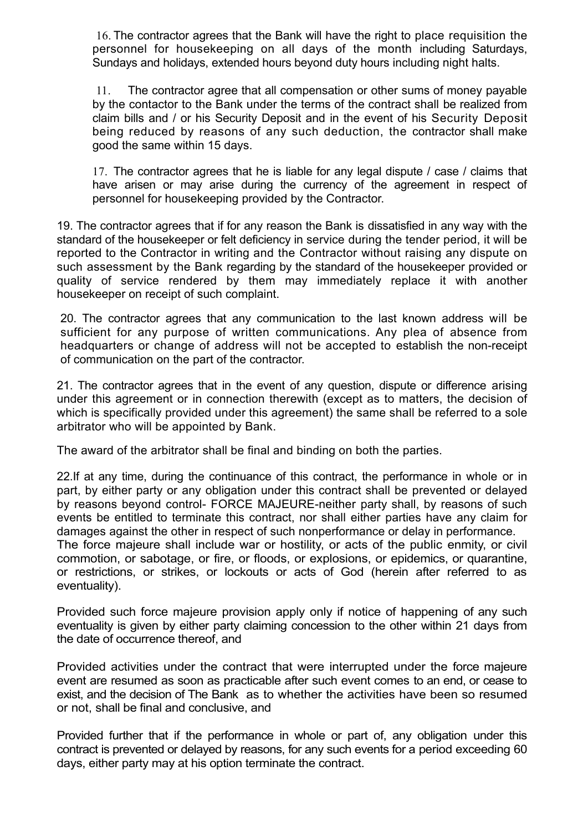16. The contractor agrees that the Bank will have the right to place requisition the personnel for housekeeping on all days of the month including Saturdays, Sundays and holidays, extended hours beyond duty hours including night halts.

11. The contractor agree that all compensation or other sums of money payable by the contactor to the Bank under the terms of the contract shall be realized from claim bills and / or his Security Deposit and in the event of his Security Deposit being reduced by reasons of any such deduction, the contractor shall make good the same within 15 days.

17. The contractor agrees that he is liable for any legal dispute / case / claims that have arisen or may arise during the currency of the agreement in respect of personnel for housekeeping provided by the Contractor.

19. The contractor agrees that if for any reason the Bank is dissatisfied in any way with the standard of the housekeeper or felt deficiency in service during the tender period, it will be reported to the Contractor in writing and the Contractor without raising any dispute on such assessment by the Bank regarding by the standard of the housekeeper provided or quality of service rendered by them may immediately replace it with another housekeeper on receipt of such complaint.

20. The contractor agrees that any communication to the last known address will be sufficient for any purpose of written communications. Any plea of absence from headquarters or change of address will not be accepted to establish the non-receipt of communication on the part of the contractor.

21. The contractor agrees that in the event of any question, dispute or difference arising under this agreement or in connection therewith (except as to matters, the decision of which is specifically provided under this agreement) the same shall be referred to a sole arbitrator who will be appointed by Bank.

The award of the arbitrator shall be final and binding on both the parties.

22.If at any time, during the continuance of this contract, the performance in whole or in part, by either party or any obligation under this contract shall be prevented or delayed by reasons beyond control- FORCE MAJEURE-neither party shall, by reasons of such events be entitled to terminate this contract, nor shall either parties have any claim for damages against the other in respect of such nonperformance or delay in performance. The force majeure shall include war or hostility, or acts of the public enmity, or civil

commotion, or sabotage, or fire, or floods, or explosions, or epidemics, or quarantine, or restrictions, or strikes, or lockouts or acts of God (herein after referred to as eventuality).

Provided such force majeure provision apply only if notice of happening of any such eventuality is given by either party claiming concession to the other within 21 days from the date of occurrence thereof, and

Provided activities under the contract that were interrupted under the force majeure event are resumed as soon as practicable after such event comes to an end, or cease to exist, and the decision of The Bank as to whether the activities have been so resumed or not, shall be final and conclusive, and

Provided further that if the performance in whole or part of, any obligation under this contract is prevented or delayed by reasons, for any such events for a period exceeding 60 days, either party may at his option terminate the contract.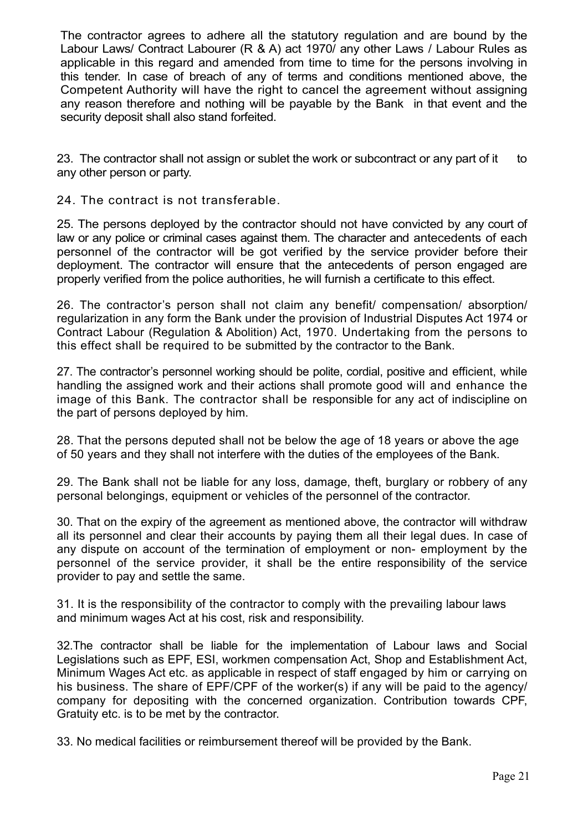The contractor agrees to adhere all the statutory regulation and are bound by the Labour Laws/ Contract Labourer (R & A) act 1970/ any other Laws / Labour Rules as applicable in this regard and amended from time to time for the persons involving in this tender. In case of breach of any of terms and conditions mentioned above, the Competent Authority will have the right to cancel the agreement without assigning any reason therefore and nothing will be payable by the Bank in that event and the security deposit shall also stand forfeited.

23. The contractor shall not assign or sublet the work or subcontract or any part of it to any other person or party.

24. The contract is not transferable.

25. The persons deployed by the contractor should not have convicted by any court of law or any police or criminal cases against them. The character and antecedents of each personnel of the contractor will be got verified by the service provider before their deployment. The contractor will ensure that the antecedents of person engaged are properly verified from the police authorities, he will furnish a certificate to this effect.

26. The contractor's person shall not claim any benefit/ compensation/ absorption/ regularization in any form the Bank under the provision of Industrial Disputes Act 1974 or Contract Labour (Regulation & Abolition) Act, 1970. Undertaking from the persons to this effect shall be required to be submitted by the contractor to the Bank.

27. The contractor's personnel working should be polite, cordial, positive and efficient, while handling the assigned work and their actions shall promote good will and enhance the image of this Bank. The contractor shall be responsible for any act of indiscipline on the part of persons deployed by him.

28. That the persons deputed shall not be below the age of 18 years or above the age of 50 years and they shall not interfere with the duties of the employees of the Bank.

29. The Bank shall not be liable for any loss, damage, theft, burglary or robbery of any personal belongings, equipment or vehicles of the personnel of the contractor.

30. That on the expiry of the agreement as mentioned above, the contractor will withdraw all its personnel and clear their accounts by paying them all their legal dues. In case of any dispute on account of the termination of employment or non- employment by the personnel of the service provider, it shall be the entire responsibility of the service provider to pay and settle the same.

31. It is the responsibility of the contractor to comply with the prevailing labour laws and minimum wages Act at his cost, risk and responsibility.

32.The contractor shall be liable for the implementation of Labour laws and Social Legislations such as EPF, ESI, workmen compensation Act, Shop and Establishment Act, Minimum Wages Act etc. as applicable in respect of staff engaged by him or carrying on his business. The share of EPF/CPF of the worker(s) if any will be paid to the agency/ company for depositing with the concerned organization. Contribution towards CPF, Gratuity etc. is to be met by the contractor.

33. No medical facilities or reimbursement thereof will be provided by the Bank.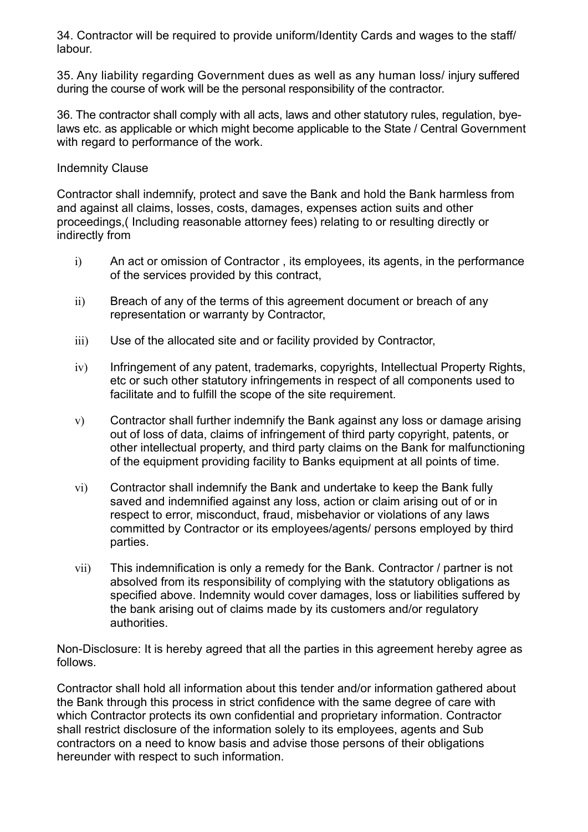34. Contractor will be required to provide uniform/Identity Cards and wages to the staff/ labour.

35. Any liability regarding Government dues as well as any human loss/ injury suffered during the course of work will be the personal responsibility of the contractor.

36. The contractor shall comply with all acts, laws and other statutory rules, regulation, byelaws etc. as applicable or which might become applicable to the State / Central Government with regard to performance of the work.

# Indemnity Clause

Contractor shall indemnify, protect and save the Bank and hold the Bank harmless from and against all claims, losses, costs, damages, expenses action suits and other proceedings,( Including reasonable attorney fees) relating to or resulting directly or indirectly from

- i) An act or omission of Contractor , its employees, its agents, in the performance of the services provided by this contract,
- ii) Breach of any of the terms of this agreement document or breach of any representation or warranty by Contractor,
- iii) Use of the allocated site and or facility provided by Contractor,
- $iv)$  Infringement of any patent, trademarks, copyrights, Intellectual Property Rights, etc or such other statutory infringements in respect of all components used to facilitate and to fulfill the scope of the site requirement.
- v) Contractor shall further indemnify the Bank against any loss or damage arising out of loss of data, claims of infringement of third party copyright, patents, or other intellectual property, and third party claims on the Bank for malfunctioning of the equipment providing facility to Banks equipment at all points of time.
- vi) Contractor shall indemnify the Bank and undertake to keep the Bank fully saved and indemnified against any loss, action or claim arising out of or in respect to error, misconduct, fraud, misbehavior or violations of any laws committed by Contractor or its employees/agents/ persons employed by third parties.
- vii) This indemnification is only a remedy for the Bank. Contractor / partner is not absolved from its responsibility of complying with the statutory obligations as specified above. Indemnity would cover damages, loss or liabilities suffered by the bank arising out of claims made by its customers and/or regulatory authorities.

Non-Disclosure: It is hereby agreed that all the parties in this agreement hereby agree as follows.

Contractor shall hold all information about this tender and/or information gathered about the Bank through this process in strict confidence with the same degree of care with which Contractor protects its own confidential and proprietary information. Contractor shall restrict disclosure of the information solely to its employees, agents and Sub contractors on a need to know basis and advise those persons of their obligations hereunder with respect to such information.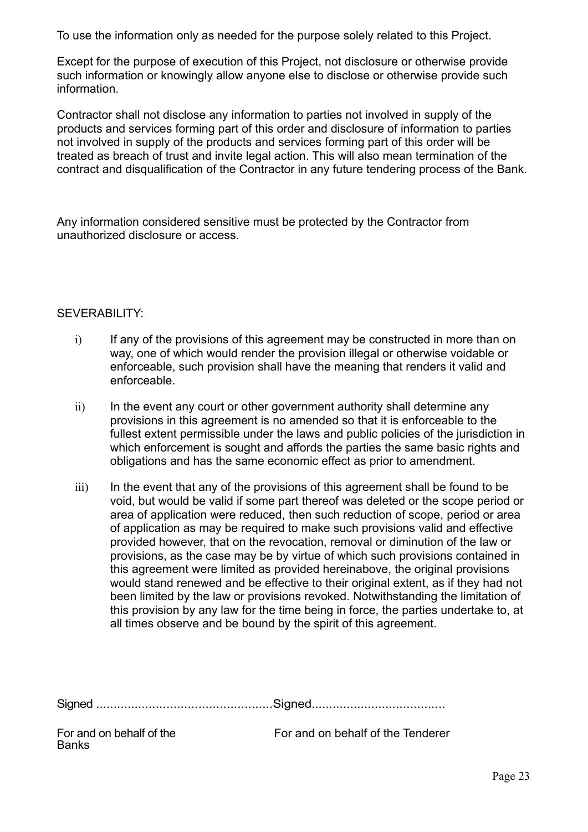To use the information only as needed for the purpose solely related to this Project.

Except for the purpose of execution of this Project, not disclosure or otherwise provide such information or knowingly allow anyone else to disclose or otherwise provide such information.

Contractor shall not disclose any information to parties not involved in supply of the products and services forming part of this order and disclosure of information to parties not involved in supply of the products and services forming part of this order will be treated as breach of trust and invite legal action. This will also mean termination of the contract and disqualification of the Contractor in any future tendering process of the Bank.

Any information considered sensitive must be protected by the Contractor from unauthorized disclosure or access.

#### SEVERABILITY:

- i) If any of the provisions of this agreement may be constructed in more than on way, one of which would render the provision illegal or otherwise voidable or enforceable, such provision shall have the meaning that renders it valid and enforceable.
- $ii)$  In the event any court or other government authority shall determine any provisions in this agreement is no amended so that it is enforceable to the fullest extent permissible under the laws and public policies of the jurisdiction in which enforcement is sought and affords the parties the same basic rights and obligations and has the same economic effect as prior to amendment.
- iii) In the event that any of the provisions of this agreement shall be found to be void, but would be valid if some part thereof was deleted or the scope period or area of application were reduced, then such reduction of scope, period or area of application as may be required to make such provisions valid and effective provided however, that on the revocation, removal or diminution of the law or provisions, as the case may be by virtue of which such provisions contained in this agreement were limited as provided hereinabove, the original provisions would stand renewed and be effective to their original extent, as if they had not been limited by the law or provisions revoked. Notwithstanding the limitation of this provision by any law for the time being in force, the parties undertake to, at all times observe and be bound by the spirit of this agreement.

Signed ..................................................Signed......................................

| For and on behalf of the |  |  |
|--------------------------|--|--|
| <b>Banks</b>             |  |  |

For and on behalf of the For and on behalf of the Tenderer